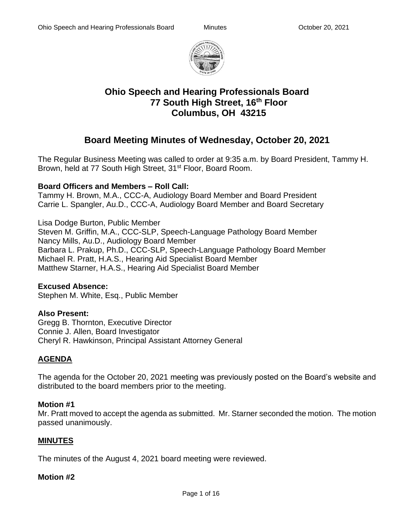

# **Ohio Speech and Hearing Professionals Board 77 South High Street, 16th Floor Columbus, OH 43215**

# **Board Meeting Minutes of Wednesday, October 20, 2021**

The Regular Business Meeting was called to order at 9:35 a.m. by Board President, Tammy H. Brown, held at 77 South High Street, 31<sup>st</sup> Floor, Board Room.

## **Board Officers and Members – Roll Call:**

Tammy H. Brown, M.A., CCC-A, Audiology Board Member and Board President Carrie L. Spangler, Au.D., CCC-A, Audiology Board Member and Board Secretary

Lisa Dodge Burton, Public Member Steven M. Griffin, M.A., CCC-SLP, Speech-Language Pathology Board Member Nancy Mills, Au.D., Audiology Board Member Barbara L. Prakup, Ph.D., CCC-SLP, Speech-Language Pathology Board Member Michael R. Pratt, H.A.S., Hearing Aid Specialist Board Member Matthew Starner, H.A.S., Hearing Aid Specialist Board Member

#### **Excused Absence:**

Stephen M. White, Esq., Public Member

#### **Also Present:**

Gregg B. Thornton, Executive Director Connie J. Allen, Board Investigator Cheryl R. Hawkinson, Principal Assistant Attorney General

## **AGENDA**

The agenda for the October 20, 2021 meeting was previously posted on the Board's website and distributed to the board members prior to the meeting.

#### **Motion #1**

Mr. Pratt moved to accept the agenda as submitted. Mr. Starner seconded the motion. The motion passed unanimously.

## **MINUTES**

The minutes of the August 4, 2021 board meeting were reviewed.

#### **Motion #2**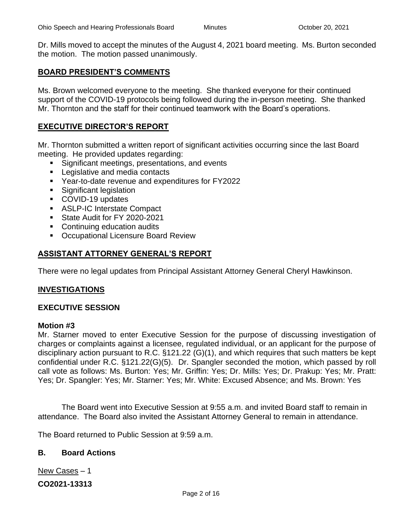Dr. Mills moved to accept the minutes of the August 4, 2021 board meeting. Ms. Burton seconded the motion. The motion passed unanimously.

#### **BOARD PRESIDENT'S COMMENTS**

Ms. Brown welcomed everyone to the meeting. She thanked everyone for their continued support of the COVID-19 protocols being followed during the in-person meeting. She thanked Mr. Thornton and the staff for their continued teamwork with the Board's operations.

## **EXECUTIVE DIRECTOR'S REPORT**

Mr. Thornton submitted a written report of significant activities occurring since the last Board meeting. He provided updates regarding:

- Significant meetings, presentations, and events
- Legislative and media contacts
- Year-to-date revenue and expenditures for FY2022
- Significant legislation
- COVID-19 updates
- ASLP-IC Interstate Compact
- **EXECUTE:** State Audit for FY 2020-2021
- Continuing education audits
- Occupational Licensure Board Review

## **ASSISTANT ATTORNEY GENERAL'S REPORT**

There were no legal updates from Principal Assistant Attorney General Cheryl Hawkinson.

#### **INVESTIGATIONS**

#### **EXECUTIVE SESSION**

#### **Motion #3**

Mr. Starner moved to enter Executive Session for the purpose of discussing investigation of charges or complaints against a licensee, regulated individual, or an applicant for the purpose of disciplinary action pursuant to R.C. §121.22 (G)(1), and which requires that such matters be kept confidential under R.C. §121.22(G)(5). Dr. Spangler seconded the motion, which passed by roll call vote as follows: Ms. Burton: Yes; Mr. Griffin: Yes; Dr. Mills: Yes; Dr. Prakup: Yes; Mr. Pratt: Yes; Dr. Spangler: Yes; Mr. Starner: Yes; Mr. White: Excused Absence; and Ms. Brown: Yes

The Board went into Executive Session at 9:55 a.m. and invited Board staff to remain in attendance. The Board also invited the Assistant Attorney General to remain in attendance.

The Board returned to Public Session at 9:59 a.m.

#### **B. Board Actions**

New Cases – 1

**CO2021-13313**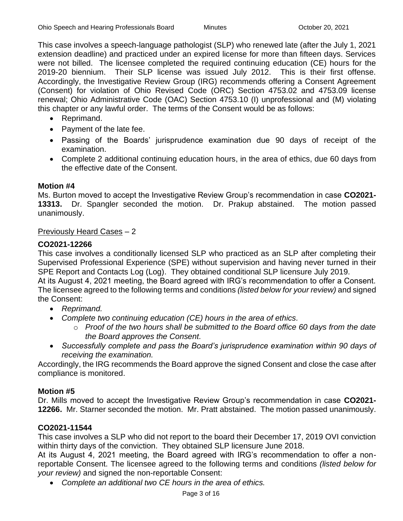This case involves a speech-language pathologist (SLP) who renewed late (after the July 1, 2021 extension deadline) and practiced under an expired license for more than fifteen days. Services were not billed. The licensee completed the required continuing education (CE) hours for the 2019-20 biennium. Their SLP license was issued July 2012. This is their first offense. Accordingly, the Investigative Review Group (IRG) recommends offering a Consent Agreement (Consent) for violation of Ohio Revised Code (ORC) Section 4753.02 and 4753.09 license renewal; Ohio Administrative Code (OAC) Section 4753.10 (I) unprofessional and (M) violating this chapter or any lawful order. The terms of the Consent would be as follows:

- Reprimand.
- Payment of the late fee.
- Passing of the Boards' jurisprudence examination due 90 days of receipt of the examination.
- Complete 2 additional continuing education hours, in the area of ethics, due 60 days from the effective date of the Consent.

#### **Motion #4**

Ms. Burton moved to accept the Investigative Review Group's recommendation in case **CO2021- 13313.** Dr. Spangler seconded the motion. Dr. Prakup abstained. The motion passed unanimously.

#### Previously Heard Cases – 2

#### **CO2021-12266**

This case involves a conditionally licensed SLP who practiced as an SLP after completing their Supervised Professional Experience (SPE) without supervision and having never turned in their SPE Report and Contacts Log (Log). They obtained conditional SLP licensure July 2019. At its August 4, 2021 meeting, the Board agreed with IRG's recommendation to offer a Consent.

The licensee agreed to the following terms and conditions *(listed below for your review)* and signed the Consent:

- *Reprimand.*
- *Complete two continuing education (CE) hours in the area of ethics.*
	- o *Proof of the two hours shall be submitted to the Board office 60 days from the date the Board approves the Consent.*
- *Successfully complete and pass the Board's jurisprudence examination within 90 days of receiving the examination.*

Accordingly, the IRG recommends the Board approve the signed Consent and close the case after compliance is monitored.

#### **Motion #5**

Dr. Mills moved to accept the Investigative Review Group's recommendation in case **CO2021- 12266.** Mr. Starner seconded the motion. Mr. Pratt abstained. The motion passed unanimously.

#### **CO2021-11544**

This case involves a SLP who did not report to the board their December 17, 2019 OVI conviction within thirty days of the conviction. They obtained SLP licensure June 2018.

At its August 4, 2021 meeting, the Board agreed with IRG's recommendation to offer a nonreportable Consent. The licensee agreed to the following terms and conditions *(listed below for your review)* and signed the non-reportable Consent:

• *Complete an additional two CE hours in the area of ethics.*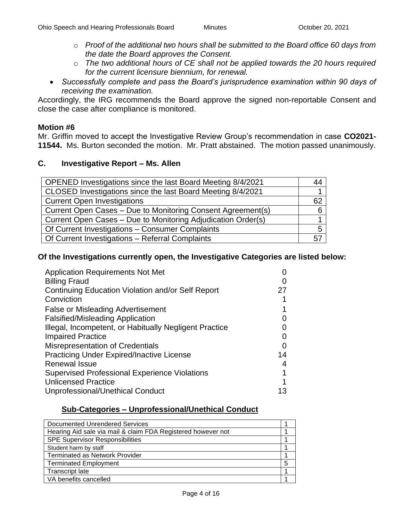- o *Proof of the additional two hours shall be submitted to the Board office 60 days from the date the Board approves the Consent.*
- o *The two additional hours of CE shall not be applied towards the 20 hours required for the current licensure biennium, for renewal.*
- *Successfully complete and pass the Board's jurisprudence examination within 90 days of receiving the examination.*

Accordingly, the IRG recommends the Board approve the signed non-reportable Consent and close the case after compliance is monitored.

#### **Motion #6**

Mr. Griffin moved to accept the Investigative Review Group's recommendation in case **CO2021- 11544.** Ms. Burton seconded the motion. Mr. Pratt abstained. The motion passed unanimously.

#### **C. Investigative Report – Ms. Allen**

| OPENED Investigations since the last Board Meeting 8/4/2021  | 44 |
|--------------------------------------------------------------|----|
| CLOSED Investigations since the last Board Meeting 8/4/2021  |    |
| <b>Current Open Investigations</b>                           | 62 |
| Current Open Cases - Due to Monitoring Consent Agreement(s)  |    |
| Current Open Cases – Due to Monitoring Adjudication Order(s) |    |
| Of Current Investigations - Consumer Complaints              |    |
| Of Current Investigations - Referral Complaints              | 57 |

#### **Of the Investigations currently open, the Investigative Categories are listed below:**

| <b>Application Requirements Not Met</b>                |                   |
|--------------------------------------------------------|-------------------|
| <b>Billing Fraud</b>                                   |                   |
| Continuing Education Violation and/or Self Report      | 27                |
| Conviction                                             |                   |
| <b>False or Misleading Advertisement</b>               |                   |
| <b>Falsified/Misleading Application</b>                |                   |
| Illegal, Incompetent, or Habitually Negligent Practice |                   |
| <b>Impaired Practice</b>                               |                   |
| <b>Misrepresentation of Credentials</b>                | $\mathbf{\Omega}$ |
| <b>Practicing Under Expired/Inactive License</b>       | 14                |
| <b>Renewal Issue</b>                                   | 4                 |
| <b>Supervised Professional Experience Violations</b>   |                   |
| <b>Unlicensed Practice</b>                             |                   |
| Unprofessional/Unethical Conduct                       | 13                |

## **Sub-Categories – Unprofessional/Unethical Conduct**

| Documented Unrendered Services                               |   |
|--------------------------------------------------------------|---|
| Hearing Aid sale via mail & claim FDA Registered however not |   |
| <b>SPE Supervisor Responsibilities</b>                       |   |
| Student harm by staff                                        |   |
| <b>Terminated as Network Provider</b>                        |   |
| <b>Terminated Employment</b>                                 | 5 |
| Transcript late                                              |   |
| VA benefits cancelled                                        |   |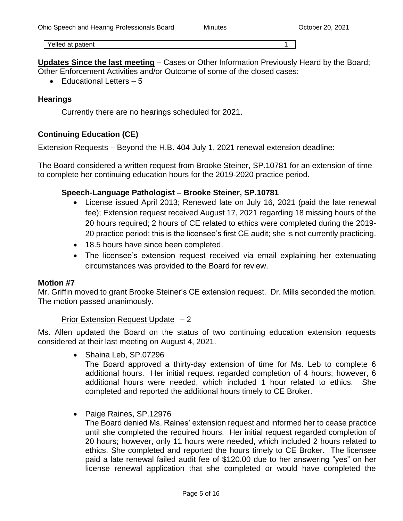Yelled at patient 1 and 1 and 1 and 1 and 1 and 1 and 1 and 1 and 1 and 1 and 1 and 1 and 1 and 1 and 1 and 1 and 1 and 1 and 1 and 1 and 1 and 1 and 1 and 1 and 1 and 1 and 1 and 1 and 1 and 1 and 1 and 1 and 1 and 1 and

**Updates Since the last meeting** – Cases or Other Information Previously Heard by the Board; Other Enforcement Activities and/or Outcome of some of the closed cases:

 $\bullet$  Educational Letters  $-5$ 

#### **Hearings**

Currently there are no hearings scheduled for 2021.

## **Continuing Education (CE)**

Extension Requests – Beyond the H.B. 404 July 1, 2021 renewal extension deadline:

The Board considered a written request from Brooke Steiner, SP.10781 for an extension of time to complete her continuing education hours for the 2019-2020 practice period.

#### **Speech-Language Pathologist – Brooke Steiner, SP.10781**

- License issued April 2013; Renewed late on July 16, 2021 (paid the late renewal fee); Extension request received August 17, 2021 regarding 18 missing hours of the 20 hours required; 2 hours of CE related to ethics were completed during the 2019- 20 practice period; this is the licensee's first CE audit; she is not currently practicing.
- 18.5 hours have since been completed.
- The licensee's extension request received via email explaining her extenuating circumstances was provided to the Board for review.

#### **Motion #7**

Mr. Griffin moved to grant Brooke Steiner's CE extension request. Dr. Mills seconded the motion. The motion passed unanimously.

#### Prior Extension Request Update  $-2$

Ms. Allen updated the Board on the status of two continuing education extension requests considered at their last meeting on August 4, 2021.

• Shaina Leb, SP.07296

The Board approved a thirty-day extension of time for Ms. Leb to complete 6 additional hours. Her initial request regarded completion of 4 hours; however, 6 additional hours were needed, which included 1 hour related to ethics. She completed and reported the additional hours timely to CE Broker.

• Paige Raines, SP.12976

The Board denied Ms. Raines' extension request and informed her to cease practice until she completed the required hours. Her initial request regarded completion of 20 hours; however, only 11 hours were needed, which included 2 hours related to ethics. She completed and reported the hours timely to CE Broker. The licensee paid a late renewal failed audit fee of \$120.00 due to her answering "yes" on her license renewal application that she completed or would have completed the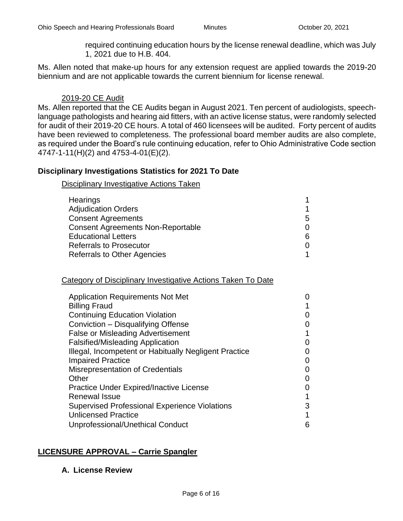required continuing education hours by the license renewal deadline, which was July 1, 2021 due to H.B. 404.

Ms. Allen noted that make-up hours for any extension request are applied towards the 2019-20 biennium and are not applicable towards the current biennium for license renewal.

#### 2019-20 CE Audit

Ms. Allen reported that the CE Audits began in August 2021. Ten percent of audiologists, speechlanguage pathologists and hearing aid fitters, with an active license status, were randomly selected for audit of their 2019-20 CE hours. A total of 460 licensees will be audited. Forty percent of audits have been reviewed to completeness. The professional board member audits are also complete, as required under the Board's rule continuing education, refer to Ohio Administrative Code section 4747-1-11(H)(2) and 4753-4-01(E)(2).

## **Disciplinary Investigations Statistics for 2021 To Date**

Disciplinary Investigative Actions Taken

| 5. |
|----|
|    |
| 6  |
|    |
|    |
|    |

#### Category of Disciplinary Investigative Actions Taken To Date

| <b>Application Requirements Not Met</b>               |   |
|-------------------------------------------------------|---|
| <b>Billing Fraud</b>                                  |   |
| <b>Continuing Education Violation</b>                 |   |
| Conviction - Disqualifying Offense                    | 0 |
| <b>False or Misleading Advertisement</b>              |   |
| <b>Falsified/Misleading Application</b>               | 0 |
| Illegal, Incompetent or Habitually Negligent Practice |   |
| <b>Impaired Practice</b>                              | 0 |
| <b>Misrepresentation of Credentials</b>               | 0 |
| Other                                                 | O |
| <b>Practice Under Expired/Inactive License</b>        | O |
| <b>Renewal Issue</b>                                  |   |
| <b>Supervised Professional Experience Violations</b>  | 3 |
| <b>Unlicensed Practice</b>                            | 1 |
| Unprofessional/Unethical Conduct                      | 6 |
|                                                       |   |

## **LICENSURE APPROVAL – Carrie Spangler**

#### **A. License Review**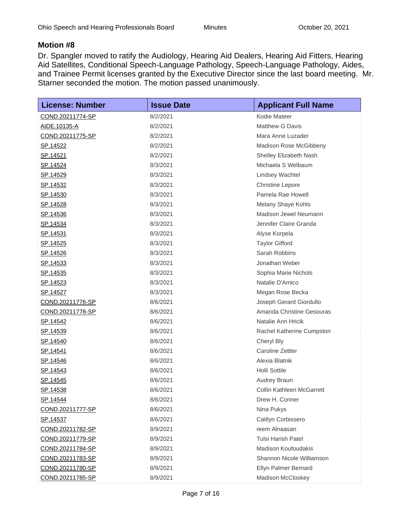## **Motion #8**

Dr. Spangler moved to ratify the Audiology, Hearing Aid Dealers, Hearing Aid Fitters, Hearing Aid Satellites, Conditional Speech-Language Pathology, Speech-Language Pathology, Aides, and Trainee Permit licenses granted by the Executive Director since the last board meeting. Mr. Starner seconded the motion. The motion passed unanimously.

| <b>License: Number</b>  | <b>Issue Date</b> | <b>Applicant Full Name</b> |
|-------------------------|-------------------|----------------------------|
| COND.20211774-SP        | 8/2/2021          | Kodie Mateer               |
| AIDE.10135-A            | 8/2/2021          | <b>Matthew G Davis</b>     |
| COND.20211775-SP        | 8/2/2021          | Mara Anne Luzader          |
| SP.14522                | 8/2/2021          | Madison Rose McGibbeny     |
| <u>SP.14521</u>         | 8/2/2021          | Shelley Elizabeth Nash     |
| SP.14524                | 8/3/2021          | Michaela S Welbaum         |
| SP.14529                | 8/3/2021          | <b>Lindsey Wachtel</b>     |
| SP.14532                | 8/3/2021          | <b>Christine Lepore</b>    |
| SP.14530                | 8/3/2021          | Pamela Rae Howell          |
| <u>SP.14528</u>         | 8/3/2021          | Melany Shaye Kohls         |
| SP.14536                | 8/3/2021          | Madison Jewel Neumann      |
| SP.14534                | 8/3/2021          | Jennifer Claire Granda     |
| SP.14531                | 8/3/2021          | Alyse Korpela              |
| <u>SP.14525</u>         | 8/3/2021          | <b>Taylor Gifford</b>      |
| <u>SP.14526</u>         | 8/3/2021          | Sarah Robbins              |
| SP.14533                | 8/3/2021          | Jonathan Weber             |
| SP.14535                | 8/3/2021          | Sophia Marie Nichols       |
| SP.14523                | 8/3/2021          | Natalie D'Amico            |
| <u>SP.14527</u>         | 8/3/2021          | Megan Rose Becka           |
| COND.20211776-SP        | 8/6/2021          | Joseph Gerard Giordullo    |
| COND.20211778-SP        | 8/6/2021          | Amanda Christine Gesouras  |
| SP.14542                | 8/6/2021          | Natalie Ann Hricik         |
| <u>SP.14539</u>         | 8/6/2021          | Rachel Katherine Cumpston  |
| <u>SP.14540</u>         | 8/6/2021          | Cheryl Bly                 |
| SP.14541                | 8/6/2021          | Caroline Zettler           |
| <u>SP.14546</u>         | 8/6/2021          | Alexia Blatnik             |
| <u>SP.14543</u>         | 8/6/2021          | <b>Holli Sottile</b>       |
| SP.14545                | 8/6/2021          | Audrey Braun               |
| SP.14538                | 8/6/2021          | Collin Kathleen McGarrett  |
| <u>SP.14544</u>         | 8/6/2021          | Drew H. Conner             |
| COND.20211777-SP        | 8/6/2021          | Nina Pukys                 |
| <u>SP.14537</u>         | 8/6/2021          | Caitlyn Corbissero         |
| <u>COND.20211782-SP</u> | 8/9/2021          | reem Alnaasan              |
| COND.20211779-SP        | 8/9/2021          | <b>Tulsi Harish Patel</b>  |
| COND.20211784-SP        | 8/9/2021          | <b>Madison Koufoudakis</b> |
| COND.20211783-SP        | 8/9/2021          | Shannon Nicole Williamson  |
| COND.20211780-SP        | 8/9/2021          | Ellyn Palmer Bernard       |
| COND.20211785-SP        | 8/9/2021          | Madison McCloskey          |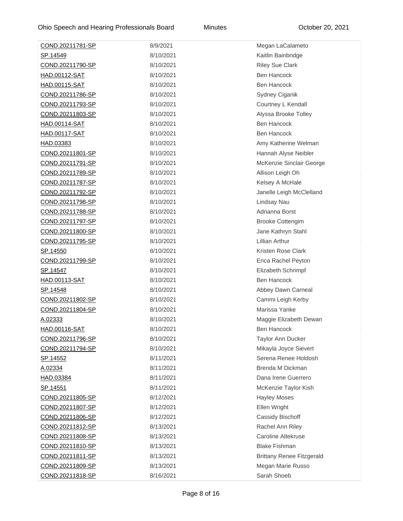| COND.20211781-SP     | 8/9/2021  | Megan LaCalameto                 |
|----------------------|-----------|----------------------------------|
| SP.14549             | 8/10/2021 | Kaitlin Bainbridge               |
| COND.20211790-SP     | 8/10/2021 | <b>Riley Sue Clark</b>           |
| HAD.00112-SAT        | 8/10/2021 | <b>Ben Hancock</b>               |
| <b>HAD.00115-SAT</b> | 8/10/2021 | <b>Ben Hancock</b>               |
| COND.20211786-SP     | 8/10/2021 | Sydney Ciganik                   |
| COND.20211793-SP     | 8/10/2021 | Courtney L Kendall               |
| COND.20211803-SP     | 8/10/2021 | Alyssa Brooke Tolley             |
| HAD.00114-SAT        | 8/10/2021 | <b>Ben Hancock</b>               |
| HAD.00117-SAT        | 8/10/2021 | <b>Ben Hancock</b>               |
| HAD.03383            | 8/10/2021 | Amy Katherine Welman             |
| COND.20211801-SP     | 8/10/2021 | Hannah Alyse Neibler             |
| COND.20211791-SP     | 8/10/2021 | McKenzie Sinclair George         |
| COND.20211789-SP     | 8/10/2021 | Allison Leigh Oh                 |
| COND.20211787-SP     | 8/10/2021 | Kelsey A McHale                  |
| COND.20211792-SP     | 8/10/2021 | Janelle Leigh McClelland         |
| COND.20211798-SP     | 8/10/2021 | Lindsay Nau                      |
| COND.20211788-SP     | 8/10/2021 | Adrianna Borst                   |
| COND.20211797-SP     | 8/10/2021 | <b>Brooke Cottengim</b>          |
| COND.20211800-SP     | 8/10/2021 | Jane Kathryn Stahl               |
| COND.20211795-SP     | 8/10/2021 | Lillian Arthur                   |
| <u>SP.14550</u>      | 8/10/2021 | Kristen Rose Clark               |
| COND.20211799-SP     | 8/10/2021 | Erica Rachel Peyton              |
| SP.14547             | 8/10/2021 | Elizabeth Schrimpf               |
| <b>HAD.00113-SAT</b> | 8/10/2021 | <b>Ben Hancock</b>               |
| SP.14548             | 8/10/2021 | Abbey Dawn Carneal               |
| COND.20211802-SP     | 8/10/2021 | Cammi Leigh Kerby                |
| COND.20211804-SP     | 8/10/2021 | Marissa Yanke                    |
| A.02333              | 8/10/2021 | Maggie Elizabeth Dewan           |
| HAD.00116-SAT        | 8/10/2021 | <b>Ben Hancock</b>               |
| COND.20211796-SP     | 8/10/2021 | <b>Taylor Ann Ducker</b>         |
| COND.20211794-SP     | 8/10/2021 | Mikayla Joyce Sievert            |
| SP.14552             | 8/11/2021 | Serena Renee Holdosh             |
| A.02334              | 8/11/2021 | Brenda M Dickman                 |
| HAD.03384            | 8/11/2021 | Dana Irene Guerrero              |
| SP.14551             | 8/11/2021 | McKenzie Taylor Kish             |
| COND.20211805-SP     | 8/12/2021 | <b>Hayley Moses</b>              |
| COND.20211807-SP     | 8/12/2021 | Ellen Wright                     |
| COND.20211806-SP     | 8/12/2021 | Cassidy Bischoff                 |
| COND.20211812-SP     | 8/13/2021 | Rachel Ann Riley                 |
| COND.20211808-SP     | 8/13/2021 | <b>Caroline Altekruse</b>        |
| COND.20211810-SP     | 8/13/2021 | <b>Blake Fishman</b>             |
| COND.20211811-SP     | 8/13/2021 | <b>Brittany Renee Fitzgerald</b> |
| COND.20211809-SP     | 8/13/2021 | Megan Marie Russo                |
| COND.20211818-SP     | 8/16/2021 | Sarah Shoeb                      |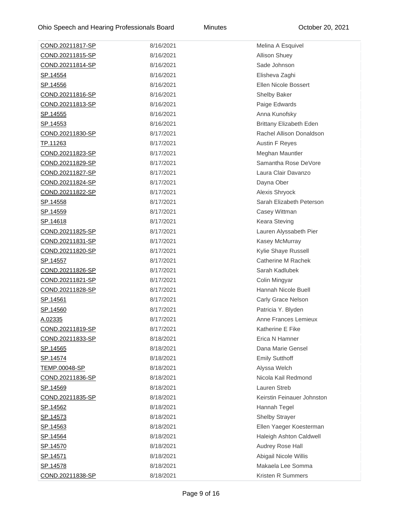| COND.20211817-SP | 8/16/2021 | Melina A Esquivel              |
|------------------|-----------|--------------------------------|
| COND.20211815-SP | 8/16/2021 | <b>Allison Shuey</b>           |
| COND.20211814-SP | 8/16/2021 | Sade Johnson                   |
| SP.14554         | 8/16/2021 | Elisheva Zaghi                 |
| SP.14556         | 8/16/2021 | Ellen Nicole Bossert           |
| COND.20211816-SP | 8/16/2021 | Shelby Baker                   |
| COND.20211813-SP | 8/16/2021 | Paige Edwards                  |
| <u>SP.14555</u>  | 8/16/2021 | Anna Kunofsky                  |
| <u>SP.14553</u>  | 8/16/2021 | <b>Brittany Elizabeth Eden</b> |
| COND.20211830-SP | 8/17/2021 | Rachel Allison Donaldson       |
| TP.11263         | 8/17/2021 | <b>Austin F Reyes</b>          |
| COND.20211823-SP | 8/17/2021 | Meghan Mauntler                |
| COND.20211829-SP | 8/17/2021 | Samantha Rose DeVore           |
| COND.20211827-SP | 8/17/2021 | Laura Clair Davanzo            |
| COND.20211824-SP | 8/17/2021 | Dayna Ober                     |
| COND.20211822-SP | 8/17/2021 | Alexis Shryock                 |
| SP.14558         | 8/17/2021 | Sarah Elizabeth Peterson       |
| SP.14559         | 8/17/2021 | Casey Wittman                  |
| SP.14618         | 8/17/2021 | Keara Steving                  |
| COND.20211825-SP | 8/17/2021 | Lauren Alyssabeth Pier         |
| COND.20211831-SP | 8/17/2021 | Kasey McMurray                 |
| COND.20211820-SP | 8/17/2021 | Kylie Shaye Russell            |
| <u>SP.14557</u>  | 8/17/2021 | Catherine M Rachek             |
| COND.20211826-SP | 8/17/2021 | Sarah Kadlubek                 |
| COND.20211821-SP | 8/17/2021 | Colin Mingyar                  |
| COND.20211828-SP | 8/17/2021 | Hannah Nicole Buell            |
| SP.14561         | 8/17/2021 | Carly Grace Nelson             |
| <u>SP.14560</u>  | 8/17/2021 | Patricia Y. Blyden             |
| A.02335          | 8/17/2021 | Anne Frances Lemieux           |
| COND.20211819-SP | 8/17/2021 | Katherine E Fike               |
| COND.20211833-SP | 8/18/2021 | Erica N Hamner                 |
| <u>SP.14565</u>  | 8/18/2021 | Dana Marie Gensel              |
| SP.14574         | 8/18/2021 | <b>Emily Sutthoff</b>          |
| TEMP.00048-SP    | 8/18/2021 | Alyssa Welch                   |
| COND.20211836-SP | 8/18/2021 | Nicola Kail Redmond            |
| <u>SP.14569</u>  | 8/18/2021 | Lauren Streb                   |
| COND.20211835-SP | 8/18/2021 | Keirstin Feinauer Johnston     |
| <u>SP.14562</u>  | 8/18/2021 | Hannah Tegel                   |
| <u>SP.14573</u>  | 8/18/2021 | <b>Shelby Strayer</b>          |
| <u>SP.14563</u>  | 8/18/2021 | Ellen Yaeger Koesterman        |
| <u>SP.14564</u>  | 8/18/2021 | Haleigh Ashton Caldwell        |
| SP.14570         | 8/18/2021 | Audrey Rose Hall               |
| <u>SP.14571</u>  | 8/18/2021 | Abigail Nicole Willis          |
| SP.14578         | 8/18/2021 | Makaela Lee Somma              |
| COND.20211838-SP | 8/18/2021 | Kristen R Summers              |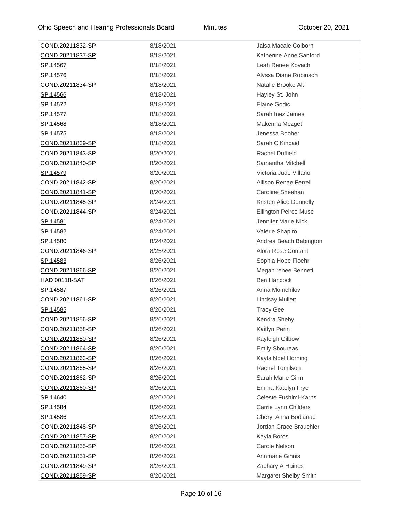| COND.20211832-SP        | 8/18/2021 | Jaisa Macale Colborn         |
|-------------------------|-----------|------------------------------|
| COND.20211837-SP        | 8/18/2021 | Katherine Anne Sanford       |
| <u>SP.14567</u>         | 8/18/2021 | Leah Renee Kovach            |
| <u>SP.14576</u>         | 8/18/2021 | Alyssa Diane Robinson        |
| COND.20211834-SP        | 8/18/2021 | Natalie Brooke Alt           |
| <u>SP.14566</u>         | 8/18/2021 | Hayley St. John              |
| SP.14572                | 8/18/2021 | <b>Elaine Godic</b>          |
| SP.14577                | 8/18/2021 | Sarah Inez James             |
| <u>SP.14568</u>         | 8/18/2021 | Makenna Mezget               |
| <u>SP.14575</u>         | 8/18/2021 | Jenessa Booher               |
| COND.20211839-SP        | 8/18/2021 | Sarah C Kincaid              |
| COND.20211843-SP        | 8/20/2021 | <b>Rachel Duffield</b>       |
| COND.20211840-SP        | 8/20/2021 | Samantha Mitchell            |
| <u>SP.14579</u>         | 8/20/2021 | Victoria Jude Villano        |
| COND.20211842-SP        | 8/20/2021 | <b>Allison Renae Ferrell</b> |
| COND.20211841-SP        | 8/20/2021 | Caroline Sheehan             |
| COND.20211845-SP        | 8/24/2021 | Kristen Alice Donnelly       |
| COND.20211844-SP        | 8/24/2021 | <b>Ellington Peirce Muse</b> |
| <u>SP.14581</u>         | 8/24/2021 | Jennifer Marie Nick          |
| SP.14582                | 8/24/2021 | Valerie Shapiro              |
| <u>SP.14580</u>         | 8/24/2021 | Andrea Beach Babington       |
| COND.20211846-SP        | 8/25/2021 | Alora Rose Contant           |
| <u>SP.14583</u>         | 8/26/2021 | Sophia Hope Floehr           |
| COND.20211866-SP        | 8/26/2021 | Megan renee Bennett          |
| HAD.00118-SAT           | 8/26/2021 | <b>Ben Hancock</b>           |
| <u>SP.14587</u>         | 8/26/2021 | Anna Momchilov               |
| COND.20211861-SP        | 8/26/2021 | <b>Lindsay Mullett</b>       |
| <u>SP.14585</u>         | 8/26/2021 | <b>Tracy Gee</b>             |
| COND.20211856-SP        | 8/26/2021 | Kendra Shehy                 |
| <u>COND.20211858-SP</u> | 8/26/2021 | Kaitlyn Perin                |
| COND.20211850-SP        | 8/26/2021 | Kayleigh Gilbow              |
| COND.20211864-SP        | 8/26/2021 | <b>Emily Shoureas</b>        |
| COND.20211863-SP        | 8/26/2021 | Kayla Noel Horning           |
| COND.20211865-SP        | 8/26/2021 | Rachel Tomilson              |
| COND.20211862-SP        | 8/26/2021 | Sarah Marie Ginn             |
| COND.20211860-SP        | 8/26/2021 | Emma Katelyn Frye            |
| SP.14640                | 8/26/2021 | Celeste Fushimi-Karns        |
| <u>SP.14584</u>         | 8/26/2021 | Carrie Lynn Childers         |
| SP.14586                | 8/26/2021 | Cheryl Anna Bodjanac         |
| COND.20211848-SP        | 8/26/2021 | Jordan Grace Brauchler       |
| COND.20211857-SP        | 8/26/2021 | Kayla Boros                  |
| COND.20211855-SP        | 8/26/2021 | Carole Nelson                |
| COND.20211851-SP        | 8/26/2021 | <b>Annmarie Ginnis</b>       |
| COND.20211849-SP        | 8/26/2021 | Zachary A Haines             |
| COND.20211859-SP        | 8/26/2021 | Margaret Shelby Smith        |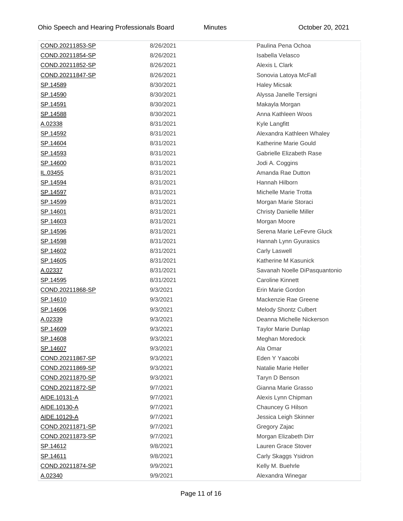| COND.20211853-SP        | 8/26/2021 | Paulina Pena Ochoa             |
|-------------------------|-----------|--------------------------------|
| COND.20211854-SP        | 8/26/2021 | Isabella Velasco               |
| COND.20211852-SP        | 8/26/2021 | Alexis L Clark                 |
| COND.20211847-SP        | 8/26/2021 | Sonovia Latoya McFall          |
| <u>SP.14589</u>         | 8/30/2021 | <b>Haley Micsak</b>            |
| <u>SP.14590</u>         | 8/30/2021 | Alyssa Janelle Tersigni        |
| <u>SP.14591</u>         | 8/30/2021 | Makayla Morgan                 |
| SP.14588                | 8/30/2021 | Anna Kathleen Woos             |
| A.02338                 | 8/31/2021 | Kyle Langfitt                  |
| SP.14592                | 8/31/2021 | Alexandra Kathleen Whaley      |
| SP.14604                | 8/31/2021 | Katherine Marie Gould          |
| <u>SP.14593</u>         | 8/31/2021 | Gabrielle Elizabeth Rase       |
| <u>SP.14600</u>         | 8/31/2021 | Jodi A. Coggins                |
| IL.03455                | 8/31/2021 | Amanda Rae Dutton              |
| <u>SP.14594</u>         | 8/31/2021 | Hannah Hilborn                 |
| <u>SP.14597</u>         | 8/31/2021 | Michelle Marie Trotta          |
| <u>SP.14599</u>         | 8/31/2021 | Morgan Marie Storaci           |
| <u>SP.14601</u>         | 8/31/2021 | <b>Christy Danielle Miller</b> |
| SP.14603                | 8/31/2021 | Morgan Moore                   |
| <u>SP.14596</u>         | 8/31/2021 | Serena Marie LeFevre Gluck     |
| <u>SP.14598</u>         | 8/31/2021 | Hannah Lynn Gyurasics          |
| <u>SP.14602</u>         | 8/31/2021 | Carly Laswell                  |
| <u>SP.14605</u>         | 8/31/2021 | Katherine M Kasunick           |
| A.02337                 | 8/31/2021 | Savanah Noelle DiPasquantonio  |
| <u>SP.14595</u>         | 8/31/2021 | <b>Caroline Kinnett</b>        |
| COND.20211868-SP        | 9/3/2021  | Erin Marie Gordon              |
| <u>SP.14610</u>         | 9/3/2021  | Mackenzie Rae Greene           |
| SP.14606                | 9/3/2021  | <b>Melody Shontz Culbert</b>   |
| A.02339                 | 9/3/2021  | Deanna Michelle Nickerson      |
| SP.14609                | 9/3/2021  | <b>Taylor Marie Dunlap</b>     |
| SP.14608                | 9/3/2021  | Meghan Moredock                |
| SP.14607                | 9/3/2021  | Ala Omar                       |
| COND.20211867-SP        | 9/3/2021  | Eden Y Yaacobi                 |
| COND.20211869-SP        | 9/3/2021  | Natalie Marie Heller           |
| COND.20211870-SP        | 9/3/2021  | Taryn D Benson                 |
| COND.20211872-SP        | 9/7/2021  | Gianna Marie Grasso            |
| AIDE.10131-A            | 9/7/2021  | Alexis Lynn Chipman            |
| AIDE.10130-A            | 9/7/2021  | Chauncey G Hilson              |
| AIDE.10129-A            | 9/7/2021  | Jessica Leigh Skinner          |
| <u>COND.20211871-SP</u> | 9/7/2021  | Gregory Zajac                  |
| COND.20211873-SP        | 9/7/2021  | Morgan Elizabeth Dirr          |
| SP.14612                | 9/8/2021  | Lauren Grace Stover            |
| SP.14611                | 9/8/2021  | Carly Skaggs Ysidron           |
| COND.20211874-SP        | 9/9/2021  | Kelly M. Buehrle               |
| A.02340                 | 9/9/2021  | Alexandra Winegar              |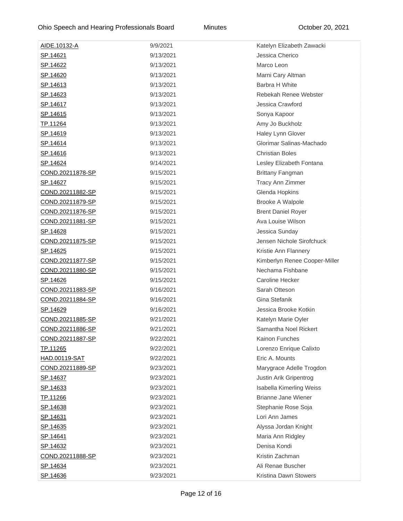| AIDE.10132-A            | 9/9/2021  | Katelyn Elizabeth Zawacki       |
|-------------------------|-----------|---------------------------------|
| SP.14621                | 9/13/2021 | Jessica Cherico                 |
| <u>SP.14622</u>         | 9/13/2021 | Marco Leon                      |
| <u>SP.14620</u>         | 9/13/2021 | Marni Cary Altman               |
| SP.14613                | 9/13/2021 | Barbra H White                  |
| <u>SP.14623</u>         | 9/13/2021 | Rebekah Renee Webster           |
| SP.14617                | 9/13/2021 | Jessica Crawford                |
| <u>SP.14615</u>         | 9/13/2021 | Sonya Kapoor                    |
| TP.11264                | 9/13/2021 | Amy Jo Buckholz                 |
| SP.14619                | 9/13/2021 | Haley Lynn Glover               |
| <u>SP.14614</u>         | 9/13/2021 | Glorimar Salinas-Machado        |
| <u>SP.14616</u>         | 9/13/2021 | <b>Christian Boles</b>          |
| <u>SP.14624</u>         | 9/14/2021 | Lesley Elizabeth Fontana        |
| COND.20211878-SP        | 9/15/2021 | <b>Brittany Fangman</b>         |
| <u>SP.14627</u>         | 9/15/2021 | <b>Tracy Ann Zimmer</b>         |
| COND.20211882-SP        | 9/15/2021 | Glenda Hopkins                  |
| <u>COND.20211879-SP</u> | 9/15/2021 | Brooke A Walpole                |
| COND.20211876-SP        | 9/15/2021 | <b>Brent Daniel Royer</b>       |
| COND.20211881-SP        | 9/15/2021 | Ava Louise Wilson               |
| <u>SP.14628</u>         | 9/15/2021 | Jessica Sunday                  |
| COND.20211875-SP        | 9/15/2021 | Jensen Nichole Sirofchuck       |
| <u>SP.14625</u>         | 9/15/2021 | Kristie Ann Flannery            |
| COND.20211877-SP        | 9/15/2021 | Kimberlyn Renee Cooper-Miller   |
| COND.20211880-SP        | 9/15/2021 | Nechama Fishbane                |
| <u>SP.14626</u>         | 9/15/2021 | <b>Caroline Hecker</b>          |
| COND.20211883-SP        | 9/16/2021 | Sarah Otteson                   |
| COND.20211884-SP        | 9/16/2021 | Gina Stefanik                   |
| SP.14629                | 9/16/2021 | Jessica Brooke Kotkin           |
| COND.20211885-SP        | 9/21/2021 | Katelyn Marie Oyler             |
| COND.20211886-SP        | 9/21/2021 | Samantha Noel Rickert           |
| <u>COND.20211887-SP</u> | 9/22/2021 | Kainon Funches                  |
| TP.11265                | 9/22/2021 | Lorenzo Enrique Calixto         |
| <b>HAD.00119-SAT</b>    | 9/22/2021 | Eric A. Mounts                  |
| COND.20211889-SP        | 9/23/2021 | Marygrace Adelle Trogdon        |
| <u>SP.14637</u>         | 9/23/2021 | Justin Arik Gripentrog          |
| <u>SP.14633</u>         | 9/23/2021 | <b>Isabella Kimerling Weiss</b> |
| TP.11266                | 9/23/2021 | Brianne Jane Wiener             |
| <u>SP.14638</u>         | 9/23/2021 | Stephanie Rose Soja             |
| SP.14631                | 9/23/2021 | Lori Ann James                  |
| <u>SP.14635</u>         | 9/23/2021 | Alyssa Jordan Knight            |
| <u>SP.14641</u>         | 9/23/2021 | Maria Ann Ridgley               |
| <u>SP.14632</u>         | 9/23/2021 | Denisa Kondi                    |
| COND.20211888-SP        | 9/23/2021 | Kristin Zachman                 |
| SP.14634                | 9/23/2021 | Ali Renae Buscher               |
| SP.14636                | 9/23/2021 | Kristina Dawn Stowers           |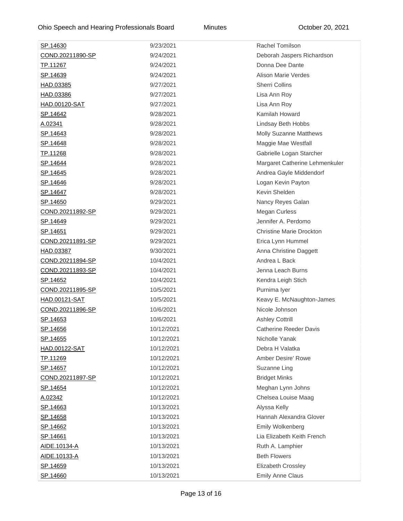| SP.14630                | 9/23/2021  | Rachel Tomilson                 |
|-------------------------|------------|---------------------------------|
| COND.20211890-SP        | 9/24/2021  | Deborah Jaspers Richardson      |
| <u>TP.11267</u>         | 9/24/2021  | Donna Dee Dante                 |
| <u>SP.14639</u>         | 9/24/2021  | <b>Alison Marie Verdes</b>      |
| HAD.03385               | 9/27/2021  | <b>Sherri Collins</b>           |
| HAD.03386               | 9/27/2021  | Lisa Ann Roy                    |
| <u>HAD.00120-SAT</u>    | 9/27/2021  | Lisa Ann Roy                    |
| SP.14642                | 9/28/2021  | Kamilah Howard                  |
| A.02341                 | 9/28/2021  | Lindsay Beth Hobbs              |
| SP.14643                | 9/28/2021  | <b>Molly Suzanne Matthews</b>   |
| <u>SP.14648</u>         | 9/28/2021  | Maggie Mae Westfall             |
| <u>TP.11268</u>         | 9/28/2021  | Gabrielle Logan Starcher        |
| <u>SP.14644</u>         | 9/28/2021  | Margaret Catherine Lehmenkuler  |
| <u>SP.14645</u>         | 9/28/2021  | Andrea Gayle Middendorf         |
| <u>SP.14646</u>         | 9/28/2021  | Logan Kevin Payton              |
| SP.14647                | 9/28/2021  | Kevin Shelden                   |
| SP.14650                | 9/29/2021  | Nancy Reyes Galan               |
| COND.20211892-SP        | 9/29/2021  | <b>Megan Curless</b>            |
| <u>SP.14649</u>         | 9/29/2021  | Jennifer A. Perdomo             |
| <u>SP.14651</u>         | 9/29/2021  | <b>Christine Marie Drockton</b> |
| COND.20211891-SP        | 9/29/2021  | Erica Lynn Hummel               |
| HAD.03387               | 9/30/2021  | Anna Christine Daggett          |
| COND.20211894-SP        | 10/4/2021  | Andrea L Back                   |
| COND.20211893-SP        | 10/4/2021  | Jenna Leach Burns               |
| <u>SP.14652</u>         | 10/4/2021  | Kendra Leigh Stich              |
| COND.20211895-SP        | 10/5/2021  | Purnima lyer                    |
| HAD.00121-SAT           | 10/5/2021  | Keavy E. McNaughton-James       |
| <u>COND.20211896-SP</u> | 10/6/2021  | Nicole Johnson                  |
| SP.14653                | 10/6/2021  | <b>Ashley Cottrill</b>          |
| <u>SP.14656</u>         | 10/12/2021 | <b>Catherine Reeder Davis</b>   |
| <u>SP.14655</u>         | 10/12/2021 | Nicholle Yanak                  |
| HAD.00122-SAT           | 10/12/2021 | Debra H Valatka                 |
| <u>TP.11269</u>         | 10/12/2021 | <b>Amber Desire' Rowe</b>       |
| SP.14657                | 10/12/2021 | Suzanne Ling                    |
| COND.20211897-SP        | 10/12/2021 | <b>Bridget Minks</b>            |
| SP.14654                | 10/12/2021 | Meghan Lynn Johns               |
| A.02342                 | 10/12/2021 | Chelsea Louise Maag             |
| SP.14663                | 10/13/2021 | Alyssa Kelly                    |
| <u>SP.14658</u>         | 10/13/2021 | Hannah Alexandra Glover         |
| SP.14662                | 10/13/2021 | <b>Emily Wolkenberg</b>         |
| SP.14661                | 10/13/2021 | Lia Elizabeth Keith French      |
| AIDE.10134-A            | 10/13/2021 | Ruth A. Lamphier                |
| AIDE.10133-A            | 10/13/2021 | <b>Beth Flowers</b>             |
| SP.14659                | 10/13/2021 | Elizabeth Crossley              |
| SP.14660                | 10/13/2021 | <b>Emily Anne Claus</b>         |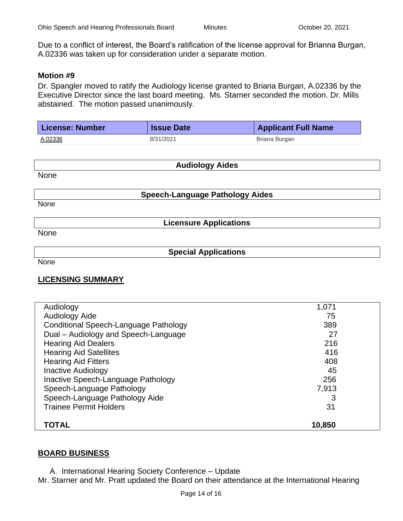Due to a conflict of interest, the Board's ratification of the license approval for Brianna Burgan, A.02336 was taken up for consideration under a separate motion.

#### **Motion #9**

Dr. Spangler moved to ratify the Audiology license granted to Briana Burgan, A.02336 by the Executive Director since the last board meeting. Ms. Starner seconded the motion. Dr. Mills abstained. The motion passed unanimously.

| License: Number | <b>Issue Date</b> | <b>Applicant Full Name</b> |
|-----------------|-------------------|----------------------------|
| <u>A.02336</u>  | 8/31/2021         | Briana Burgan              |

| <b>Audiology Aides</b> |                                        |  |
|------------------------|----------------------------------------|--|
| None                   |                                        |  |
|                        | <b>Speech-Language Pathology Aides</b> |  |
| None                   |                                        |  |
|                        | <b>Licensure Applications</b>          |  |
| None                   |                                        |  |
|                        | <b>Special Applications</b>            |  |
| None                   |                                        |  |

## **LICENSING SUMMARY**

| Audiology                             | 1,071  |  |
|---------------------------------------|--------|--|
| Audiology Aide                        | 75     |  |
| Conditional Speech-Language Pathology | 389    |  |
| Dual - Audiology and Speech-Language  | 27     |  |
| <b>Hearing Aid Dealers</b>            | 216    |  |
| <b>Hearing Aid Satellites</b>         | 416    |  |
| <b>Hearing Aid Fitters</b>            | 408    |  |
| <b>Inactive Audiology</b>             | 45     |  |
| Inactive Speech-Language Pathology    | 256    |  |
| Speech-Language Pathology             | 7.913  |  |
| Speech-Language Pathology Aide        | 3      |  |
| <b>Trainee Permit Holders</b>         | 31     |  |
|                                       |        |  |
| TOTAL                                 | 10,850 |  |

#### **BOARD BUSINESS**

A. International Hearing Society Conference – Update

Mr. Starner and Mr. Pratt updated the Board on their attendance at the International Hearing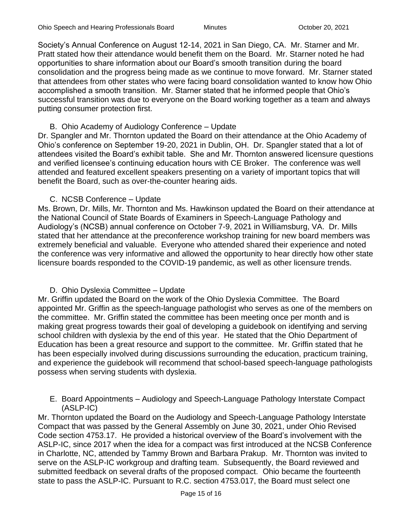Society's Annual Conference on August 12-14, 2021 in San Diego, CA. Mr. Starner and Mr. Pratt stated how their attendance would benefit them on the Board. Mr. Starner noted he had opportunities to share information about our Board's smooth transition during the board consolidation and the progress being made as we continue to move forward. Mr. Starner stated that attendees from other states who were facing board consolidation wanted to know how Ohio accomplished a smooth transition. Mr. Starner stated that he informed people that Ohio's successful transition was due to everyone on the Board working together as a team and always putting consumer protection first.

#### B. Ohio Academy of Audiology Conference – Update

Dr. Spangler and Mr. Thornton updated the Board on their attendance at the Ohio Academy of Ohio's conference on September 19-20, 2021 in Dublin, OH. Dr. Spangler stated that a lot of attendees visited the Board's exhibit table. She and Mr. Thornton answered licensure questions and verified licensee's continuing education hours with CE Broker. The conference was well attended and featured excellent speakers presenting on a variety of important topics that will benefit the Board, such as over-the-counter hearing aids.

#### C. NCSB Conference – Update

Ms. Brown, Dr. Mills, Mr. Thornton and Ms. Hawkinson updated the Board on their attendance at the National Council of State Boards of Examiners in Speech-Language Pathology and Audiology's (NCSB) annual conference on October 7-9, 2021 in Williamsburg, VA. Dr. Mills stated that her attendance at the preconference workshop training for new board members was extremely beneficial and valuable. Everyone who attended shared their experience and noted the conference was very informative and allowed the opportunity to hear directly how other state licensure boards responded to the COVID-19 pandemic, as well as other licensure trends.

#### D. Ohio Dyslexia Committee – Update

Mr. Griffin updated the Board on the work of the Ohio Dyslexia Committee. The Board appointed Mr. Griffin as the speech-language pathologist who serves as one of the members on the committee. Mr. Griffin stated the committee has been meeting once per month and is making great progress towards their goal of developing a guidebook on identifying and serving school children with dyslexia by the end of this year. He stated that the Ohio Department of Education has been a great resource and support to the committee. Mr. Griffin stated that he has been especially involved during discussions surrounding the education, practicum training, and experience the guidebook will recommend that school-based speech-language pathologists possess when serving students with dyslexia.

E. Board Appointments – Audiology and Speech-Language Pathology Interstate Compact (ASLP-IC)

Mr. Thornton updated the Board on the Audiology and Speech-Language Pathology Interstate Compact that was passed by the General Assembly on June 30, 2021, under Ohio Revised Code section 4753.17. He provided a historical overview of the Board's involvement with the ASLP-IC, since 2017 when the idea for a compact was first introduced at the NCSB Conference in Charlotte, NC, attended by Tammy Brown and Barbara Prakup. Mr. Thornton was invited to serve on the ASLP-IC workgroup and drafting team. Subsequently, the Board reviewed and submitted feedback on several drafts of the proposed compact. Ohio became the fourteenth state to pass the ASLP-IC. Pursuant to R.C. section 4753.017, the Board must select one